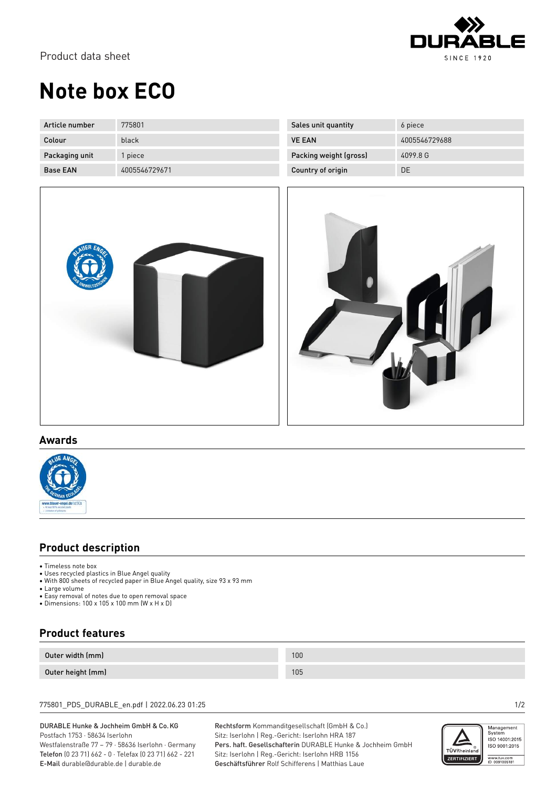

# **Note box ECO**

| Article number  | 775801        |
|-----------------|---------------|
| Colour          | black         |
| Packaging unit  | 1 piece       |
| <b>Base FAN</b> | 4005546729671 |

| Sales unit quantity    | 6 piece       |
|------------------------|---------------|
| <b>VE EAN</b>          | 4005546729688 |
| Packing weight (gross) | 4099.8 G      |
| Country of origin      | DE            |





### **Awards**



### **Product description**

- Timeless note box
- Uses recycled plastics in Blue Angel quality
- With 800 sheets of recycled paper in Blue Angel quality, size 93 x 93 mm
- Large volume
- Easy removal of notes due to open removal space
- Dimensions: 100 x 105 x 100 mm (W x H x D)

## **Product features**

| Outer width (mm)  | 100 |
|-------------------|-----|
| Outer height (mm) | 105 |

775801\_PDS\_DURABLE\_en.pdf | 2022.06.23 01:25 1/2

#### DURABLE Hunke & Jochheim GmbH & Co.KG Postfach 1753 · 58634 Iserlohn

Westfalenstraße 77 – 79 · 58636 Iserlohn · Germany Telefon (0 23 71) 662 - 0 · Telefax (0 23 71) 662 - 221 E-Mail durable@durable.de | durable.de

Rechtsform Kommanditgesellschaft (GmbH & Co.) Sitz: Iserlohn | Reg.-Gericht: Iserlohn HRA 187 Pers. haft. Gesellschafterin DURABLE Hunke & Jochheim GmbH Sitz: Iserlohn | Reg.-Gericht: Iserlohn HRB 1156 Geschäftsführer Rolf Schifferens | Matthias Laue